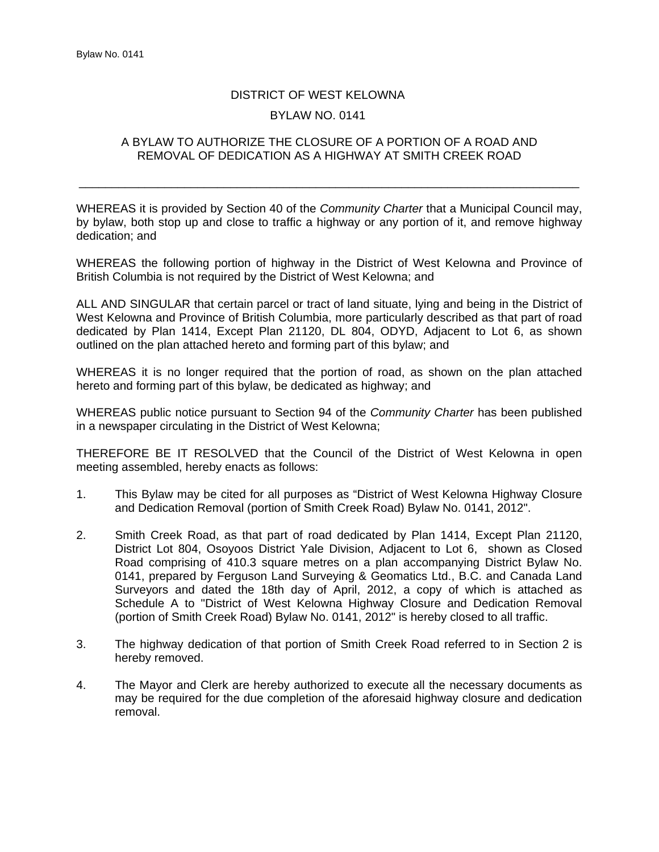## DISTRICT OF WEST KELOWNA

## BYLAW NO. 0141

## A BYLAW TO AUTHORIZE THE CLOSURE OF A PORTION OF A ROAD AND REMOVAL OF DEDICATION AS A HIGHWAY AT SMITH CREEK ROAD

\_\_\_\_\_\_\_\_\_\_\_\_\_\_\_\_\_\_\_\_\_\_\_\_\_\_\_\_\_\_\_\_\_\_\_\_\_\_\_\_\_\_\_\_\_\_\_\_\_\_\_\_\_\_\_\_\_\_\_\_\_\_\_\_\_\_\_\_\_\_\_\_\_\_\_\_

WHEREAS it is provided by Section 40 of the *Community Charter* that a Municipal Council may, by bylaw, both stop up and close to traffic a highway or any portion of it, and remove highway dedication; and

WHEREAS the following portion of highway in the District of West Kelowna and Province of British Columbia is not required by the District of West Kelowna; and

ALL AND SINGULAR that certain parcel or tract of land situate, lying and being in the District of West Kelowna and Province of British Columbia, more particularly described as that part of road dedicated by Plan 1414, Except Plan 21120, DL 804, ODYD, Adjacent to Lot 6, as shown outlined on the plan attached hereto and forming part of this bylaw; and

WHEREAS it is no longer required that the portion of road, as shown on the plan attached hereto and forming part of this bylaw, be dedicated as highway; and

WHEREAS public notice pursuant to Section 94 of the *Community Charter* has been published in a newspaper circulating in the District of West Kelowna;

THEREFORE BE IT RESOLVED that the Council of the District of West Kelowna in open meeting assembled, hereby enacts as follows:

- 1. This Bylaw may be cited for all purposes as "District of West Kelowna Highway Closure and Dedication Removal (portion of Smith Creek Road) Bylaw No. 0141, 2012".
- 2. Smith Creek Road, as that part of road dedicated by Plan 1414, Except Plan 21120, District Lot 804, Osoyoos District Yale Division, Adjacent to Lot 6, shown as Closed Road comprising of 410.3 square metres on a plan accompanying District Bylaw No. 0141, prepared by Ferguson Land Surveying & Geomatics Ltd., B.C. and Canada Land Surveyors and dated the 18th day of April, 2012, a copy of which is attached as Schedule A to "District of West Kelowna Highway Closure and Dedication Removal (portion of Smith Creek Road) Bylaw No. 0141, 2012" is hereby closed to all traffic.
- 3. The highway dedication of that portion of Smith Creek Road referred to in Section 2 is hereby removed.
- 4. The Mayor and Clerk are hereby authorized to execute all the necessary documents as may be required for the due completion of the aforesaid highway closure and dedication removal.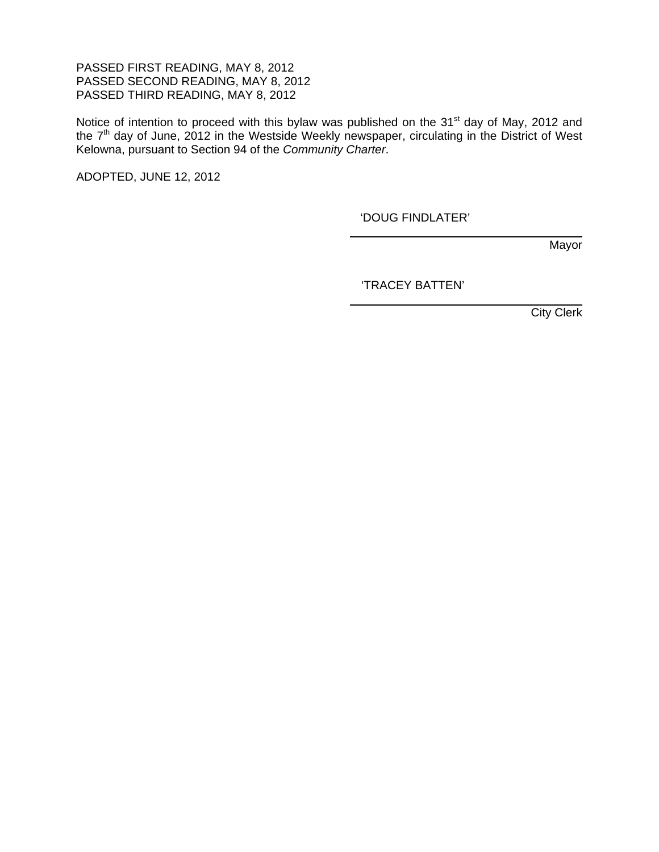PASSED FIRST READING, MAY 8, 2012 PASSED SECOND READING, MAY 8, 2012 PASSED THIRD READING, MAY 8, 2012

Notice of intention to proceed with this bylaw was published on the 31<sup>st</sup> day of May, 2012 and the 7<sup>th</sup> day of June, 2012 in the Westside Weekly newspaper, circulating in the District of West Kelowna, pursuant to Section 94 of the *Community Charter*.

 $\overline{a}$ 

 $\overline{a}$ 

ADOPTED, JUNE 12, 2012

'DOUG FINDLATER'

**Mayor** 

'TRACEY BATTEN'

City Clerk